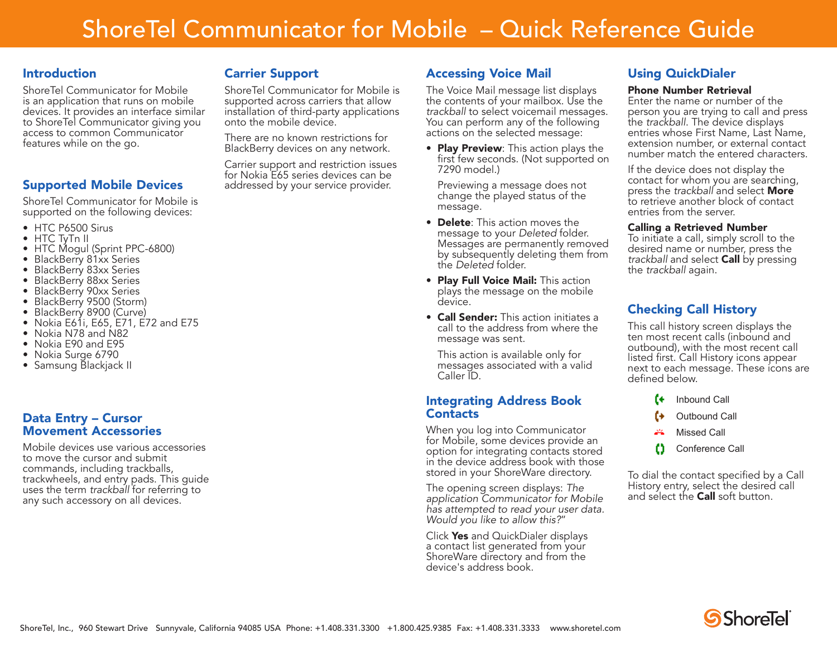# ShoreTel Communicator for Mobile – Quick Reference Guide

## **Introduction**

ShoreTel Communicator for Mobile is an application that runs on mobile devices. It provides an interface similar to ShoreTel Communicator giving you access to common Communicator features while on the go.

## Supported Mobile Devices

ShoreTel Communicator for Mobile is supported on the following devices:

- HTC P6500 Sirus
- HTC TyTn II
- HTC Mogul (Sprint PPC-6800)
- BlackBerry 81xx Series
- BlackBerry 83xx Series
- BlackBerry 88xx Series
- BlackBerry 90xx Series
- BlackBerry 9500 (Storm)
- BlackBerry 8900 (Curve)
- Nokia E61i, E65, E71, E72 and E75
- Nokia N78 and N82
- Nokia E90 and E95
- Nokia Surge 6790
- Samsung Blackjack II

## Data Entry – Cursor Movement Accessories

Mobile devices use various accessories to move the cursor and submit commands, including trackballs, trackwheels, and entry pads. This guide uses the term *trackball* for referring to any such accessory on all devices.

## Carrier Support

ShoreTel Communicator for Mobile is supported across carriers that allow installation of third-party applications onto the mobile device.

There are no known restrictions for BlackBerry devices on any network.

Carrier support and restriction issues for Nokia E65 series devices can be addressed by your service provider.

# Accessing Voice Mail

The Voice Mail message list displays the contents of your mailbox. Use the *trackball* to select voicemail messages. You can perform any of the following actions on the selected message:

• Play Preview: This action plays the first few seconds. (Not supported on 7290 model.)

Previewing a message does not change the played status of the message.

- **Delete**: This action moves the message to your *Deleted* folder. Messages are permanently removed by subsequently deleting them from the *Deleted* folder.
- Play Full Voice Mail: This action plays the message on the mobile device.
- **Call Sender:** This action initiates a call to the address from where the message was sent.

This action is available only for messages associated with a valid Caller ID.

### Integrating Address Book **Contacts**

When you log into Communicator for Mobile, some devices provide an option for integrating contacts stored in the device address book with those stored in your ShoreWare directory.

The opening screen displays: *The application Communicator for Mobile has attempted to read your user data. Would you like to allow this?*"

Click Yes and QuickDialer displays a contact list generated from your ShoreWare directory and from the device's address book.

## Using QuickDialer

#### Phone Number Retrieval

Enter the name or number of the person you are trying to call and press the *trackball*. The device displays entries whose First Name, Last Name, extension number, or external contact number match the entered characters.

If the device does not display the contact for whom you are searching, press the *trackball* and select More to retrieve another block of contact entries from the server.

#### Calling a Retrieved Number

To initiate a call, simply scroll to the desired name or number, press the *trackball* and select Call by pressing the *trackball* again.

# Checking Call History

This call history screen displays the ten most recent calls (inbound and outbound), with the most recent call listed first. Call History icons appear next to each message. These icons are defined below.



o Conference Call

To dial the contact specified by a Call History entry, select the desired call and select the **Call** soft button.